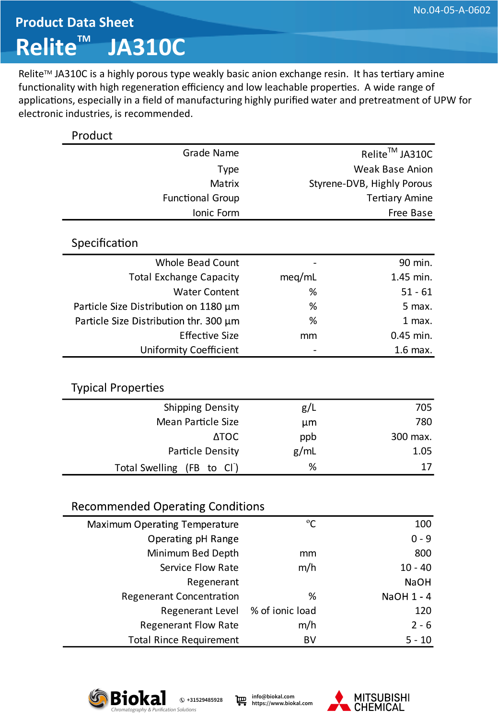## **Product Data Sheet Relite™ JA310C**

Relite™ JA310C is a highly porous type weakly basic anion exchange resin. It has tertiary amine functionality with high regeneration efficiency and low leachable properties. A wide range of applications, especially in a field of manufacturing highly purified water and pretreatment of UPW for electronic industries, is recommended.

| Product                                 |                |                            |  |
|-----------------------------------------|----------------|----------------------------|--|
| Grade Name                              | Relite™ JA310C |                            |  |
| <b>Type</b>                             |                | <b>Weak Base Anion</b>     |  |
| Matrix                                  |                | Styrene-DVB, Highly Porous |  |
| <b>Functional Group</b>                 |                | <b>Tertiary Amine</b>      |  |
| Ionic Form                              |                | Free Base                  |  |
|                                         |                |                            |  |
| Specification                           |                |                            |  |
| <b>Whole Bead Count</b>                 |                | 90 min.                    |  |
| <b>Total Exchange Capacity</b>          | meq/mL         | 1.45 min.                  |  |
| <b>Water Content</b>                    | %              | $51 - 61$                  |  |
| Particle Size Distribution on 1180 µm   | %              | 5 max.                     |  |
| Particle Size Distribution thr. 300 µm  | %              | 1 max.                     |  |
| <b>Effective Size</b>                   | mm             | 0.45 min.                  |  |
| <b>Uniformity Coefficient</b>           |                | 1.6 max.                   |  |
|                                         |                |                            |  |
| <b>Typical Properties</b>               |                |                            |  |
| Shipping Density                        | g/L            | 705                        |  |
| <b>Mean Particle Size</b>               | µm             | 780                        |  |
| <b>ATOC</b>                             | ppb            | 300 max.                   |  |
| Particle Density                        | g/mL           | 1.05                       |  |
| <b>Total Swelling</b><br>(FB to CI)     | %              | 17                         |  |
|                                         |                |                            |  |
| <b>Recommended Operating Conditions</b> |                |                            |  |
| Maximum Operating Temperature           | $^{\circ}$ C   | 100                        |  |
| Operating pH Range                      |                | $0 - 9$                    |  |
| Minimum Bed Depth                       | mm             | 800                        |  |